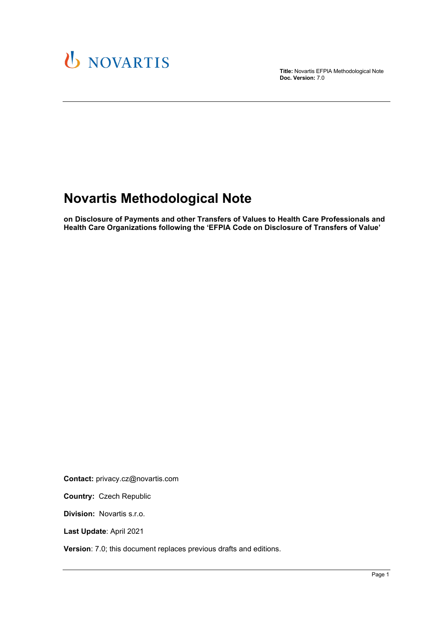

**Title:** Novartis EFPIA Methodological Note **Doc. Version:** 7.0

## **Novartis Methodological Note**

**on Disclosure of Payments and other Transfers of Values to Health Care Professionals and Health Care Organizations following the 'EFPIA Code on Disclosure of Transfers of Value'**

**Contact:** privacy.cz@novartis.com

**Country:** Czech Republic

**Division:** Novartis s.r.o.

**Last Update**: April 2021

**Version**: 7.0; this document replaces previous drafts and editions.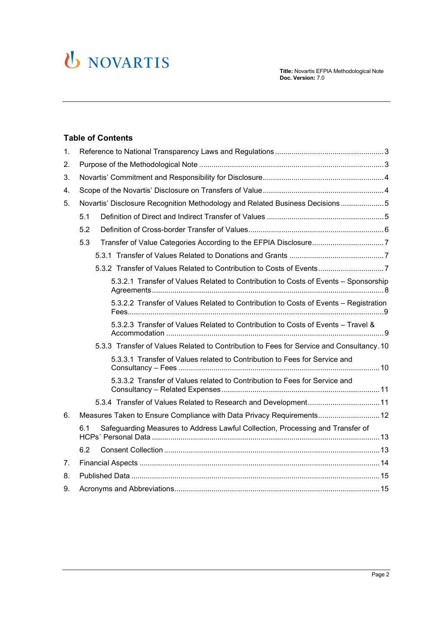

#### **Table of Contents**

| 1. |                                                                                          |  |
|----|------------------------------------------------------------------------------------------|--|
| 2. |                                                                                          |  |
| 3. |                                                                                          |  |
| 4. |                                                                                          |  |
| 5. | Novartis' Disclosure Recognition Methodology and Related Business Decisions5             |  |
|    | 5.1                                                                                      |  |
|    | 5.2                                                                                      |  |
|    | Transfer of Value Categories According to the EFPIA Disclosure7<br>5.3                   |  |
|    |                                                                                          |  |
|    |                                                                                          |  |
|    | 5.3.2.1 Transfer of Values Related to Contribution to Costs of Events - Sponsorship      |  |
|    | 5.3.2.2 Transfer of Values Related to Contribution to Costs of Events - Registration     |  |
|    | 5.3.2.3 Transfer of Values Related to Contribution to Costs of Events - Travel &         |  |
|    | 5.3.3 Transfer of Values Related to Contribution to Fees for Service and Consultancy. 10 |  |
|    | 5.3.3.1 Transfer of Values related to Contribution to Fees for Service and               |  |
|    | 5.3.3.2 Transfer of Values related to Contribution to Fees for Service and               |  |
|    | 5.3.4 Transfer of Values Related to Research and Development 11                          |  |
| 6. | Measures Taken to Ensure Compliance with Data Privacy Requirements 12                    |  |
|    | Safeguarding Measures to Address Lawful Collection, Processing and Transfer of<br>6.1    |  |
|    | 6.2                                                                                      |  |
| 7. |                                                                                          |  |
| 8. |                                                                                          |  |
| 9. |                                                                                          |  |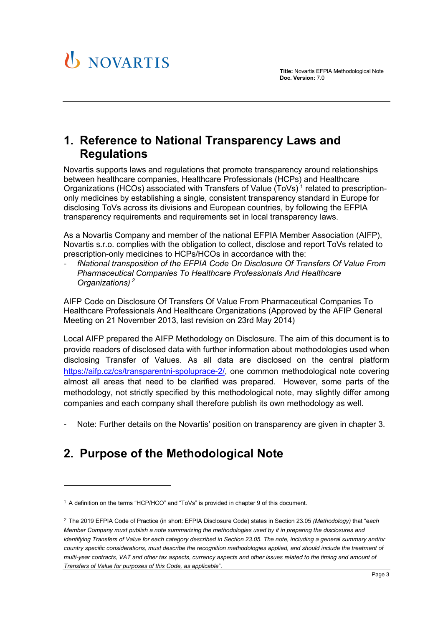

## <span id="page-2-0"></span>**1. Reference to National Transparency Laws and Regulations**

Novartis supports laws and regulations that promote transparency around relationships between healthcare companies, Healthcare Professionals (HCPs) and Healthcare Organizations (HCOs) associated with Transfers of Value  $(ToVs)^1$  $(ToVs)^1$  related to prescriptiononly medicines by establishing a single, consistent transparency standard in Europe for disclosing ToVs across its divisions and European countries, by following the EFPIA transparency requirements and requirements set in local transparency laws.

As a Novartis Company and member of the national EFPIA Member Association (AIFP), Novartis s.r.o. complies with the obligation to collect, disclose and report ToVs related to prescription-only medicines to HCPs/HCOs in accordance with the:

- *fNational transposition of the EFPIA Code On Disclosure Of Transfers Of Value From Pharmaceutical Companies To Healthcare Professionals And Healthcare Organizations) [2](#page-2-3)*

AIFP Code on Disclosure Of Transfers Of Value From Pharmaceutical Companies To Healthcare Professionals And Healthcare Organizations (Approved by the AFIP General Meeting on 21 November 2013, last revision on 23rd May 2014)

Local AIFP prepared the AIFP Methodology on Disclosure. The aim of this document is to provide readers of disclosed data with further information about methodologies used when disclosing Transfer of Values. As all data are disclosed on the central platform [https://aifp.cz/cs/transparentni-spoluprace-2/,](https://aifp.cz/cs/transparentni-spoluprace-2/) one common methodological note covering almost all areas that need to be clarified was prepared. However, some parts of the methodology, not strictly specified by this methodological note, may slightly differ among companies and each company shall therefore publish its own methodology as well.

Note: Further details on the Novartis' position on transparency are given in chapter [3.](#page-3-0)

## <span id="page-2-1"></span>**2. Purpose of the Methodological Note**

<span id="page-2-2"></span><sup>1</sup> A definition on the terms "HCP/HCO" and "ToVs" is provided in chapter 9 of this document.

<span id="page-2-3"></span><sup>2</sup> The 2019 EFPIA Code of Practice (in short: EFPIA Disclosure Code) states in Section 23.05 *(Methodology)* that "e*ach Member Company must publish a note summarizing the methodologies used by it in preparing the disclosures and identifying Transfers of Value for each category described in Section 23.05. The note, including a general summary and/or country specific considerations, must describe the recognition methodologies applied, and should include the treatment of multi-year contracts, VAT and other tax aspects, currency aspects and other issues related to the timing and amount of Transfers of Value for purposes of this Code, as applicable*".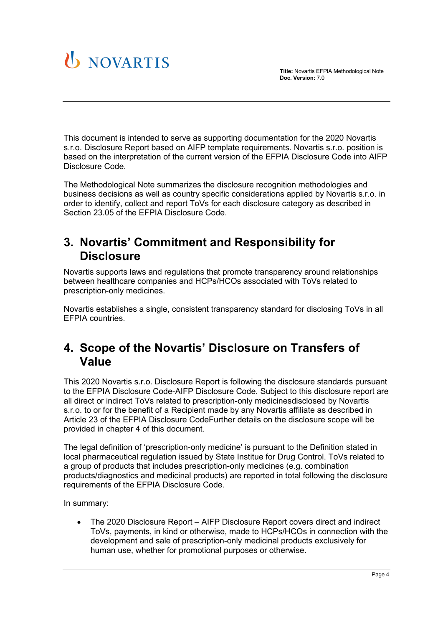



This document is intended to serve as supporting documentation for the 2020 Novartis s.r.o. Disclosure Report based on AIFP template requirements. Novartis s.r.o. position is based on the interpretation of the current version of the EFPIA Disclosure Code into AIFP Disclosure Code.

The Methodological Note summarizes the disclosure recognition methodologies and business decisions as well as country specific considerations applied by Novartis s.r.o. in order to identify, collect and report ToVs for each disclosure category as described in Section 23.05 of the EFPIA Disclosure Code.

## <span id="page-3-0"></span>**3. Novartis' Commitment and Responsibility for Disclosure**

Novartis supports laws and regulations that promote transparency around relationships between healthcare companies and HCPs/HCOs associated with ToVs related to prescription-only medicines.

Novartis establishes a single, consistent transparency standard for disclosing ToVs in all EFPIA countries.

## <span id="page-3-1"></span>**4. Scope of the Novartis' Disclosure on Transfers of Value**

This 2020 Novartis s.r.o. Disclosure Report is following the disclosure standards pursuant to the EFPIA Disclosure Code-AIFP Disclosure Code. Subject to this disclosure report are all direct or indirect ToVs related to prescription-only medicinesdisclosed by Novartis s.r.o. to or for the benefit of a Recipient made by any Novartis affiliate as described in Article 23 of the EFPIA Disclosure CodeFurther details on the disclosure scope will be provided in chapter [4](#page-3-1) of this document.

The legal definition of 'prescription-only medicine' is pursuant to the Definition stated in local pharmaceutical regulation issued by State Institue for Drug Control. ToVs related to a group of products that includes prescription-only medicines (e.g. combination products/diagnostics and medicinal products) are reported in total following the disclosure requirements of the EFPIA Disclosure Code.

In summary:

• The 2020 Disclosure Report – AIFP Disclosure Report covers direct and indirect ToVs, payments, in kind or otherwise, made to HCPs/HCOs in connection with the development and sale of prescription-only medicinal products exclusively for human use, whether for promotional purposes or otherwise.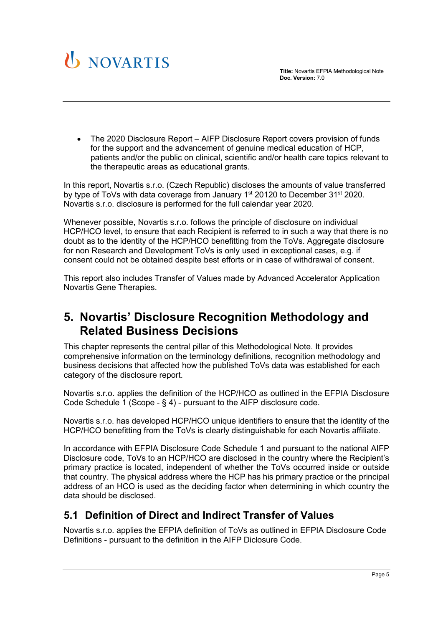



• The 2020 Disclosure Report – AIFP Disclosure Report covers provision of funds for the support and the advancement of genuine medical education of HCP, patients and/or the public on clinical, scientific and/or health care topics relevant to the therapeutic areas as educational grants.

In this report, Novartis s.r.o. (Czech Republic) discloses the amounts of value transferred by type of ToVs with data coverage from January  $1<sup>st</sup> 20120$  to December  $31<sup>st</sup> 2020$ . Novartis s.r.o. disclosure is performed for the full calendar year 2020.

Whenever possible, Novartis s.r.o. follows the principle of disclosure on individual HCP/HCO level, to ensure that each Recipient is referred to in such a way that there is no doubt as to the identity of the HCP/HCO benefitting from the ToVs. Aggregate disclosure for non Research and Development ToVs is only used in exceptional cases, e.g. if consent could not be obtained despite best efforts or in case of withdrawal of consent.

This report also includes Transfer of Values made by Advanced Accelerator Application Novartis Gene Therapies.

## <span id="page-4-0"></span>**5. Novartis' Disclosure Recognition Methodology and Related Business Decisions**

This chapter represents the central pillar of this Methodological Note. It provides comprehensive information on the terminology definitions, recognition methodology and business decisions that affected how the published ToVs data was established for each category of the disclosure report.

Novartis s.r.o. applies the definition of the HCP/HCO as outlined in the EFPIA Disclosure Code Schedule 1 (Scope - § 4) - pursuant to the AIFP disclosure code.

Novartis s.r.o. has developed HCP/HCO unique identifiers to ensure that the identity of the HCP/HCO benefitting from the ToVs is clearly distinguishable for each Novartis affiliate.

In accordance with EFPIA Disclosure Code Schedule 1 and pursuant to the national AIFP Disclosure code, ToVs to an HCP/HCO are disclosed in the country where the Recipient's primary practice is located, independent of whether the ToVs occurred inside or outside that country. The physical address where the HCP has his primary practice or the principal address of an HCO is used as the deciding factor when determining in which country the data should be disclosed.

### <span id="page-4-1"></span>**5.1 Definition of Direct and Indirect Transfer of Values**

Novartis s.r.o. applies the EFPIA definition of ToVs as outlined in EFPIA Disclosure Code Definitions - pursuant to the definition in the AIFP Diclosure Code.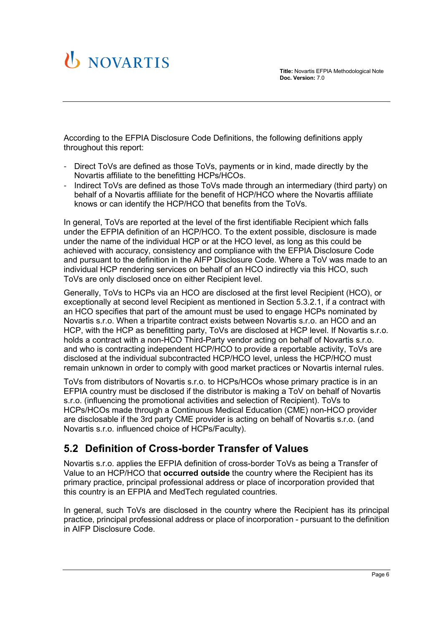# U NOVARTIS

According to the EFPIA Disclosure Code Definitions, the following definitions apply throughout this report:

- Direct ToVs are defined as those ToVs, payments or in kind, made directly by the Novartis affiliate to the benefitting HCPs/HCOs.
- Indirect ToVs are defined as those ToVs made through an intermediary (third party) on behalf of a Novartis affiliate for the benefit of HCP/HCO where the Novartis affiliate knows or can identify the HCP/HCO that benefits from the ToVs.

In general, ToVs are reported at the level of the first identifiable Recipient which falls under the EFPIA definition of an HCP/HCO. To the extent possible, disclosure is made under the name of the individual HCP or at the HCO level, as long as this could be achieved with accuracy, consistency and compliance with the EFPIA Disclosure Code and pursuant to the definition in the AIFP Disclosure Code. Where a ToV was made to an individual HCP rendering services on behalf of an HCO indirectly via this HCO, such ToVs are only disclosed once on either Recipient level.

Generally, ToVs to HCPs via an HCO are disclosed at the first level Recipient (HCO), or exceptionally at second level Recipient as mentioned in Section [5.3.2.1,](#page-7-0) if a contract with an HCO specifies that part of the amount must be used to engage HCPs nominated by Novartis s.r.o. When a tripartite contract exists between Novartis s.r.o. an HCO and an HCP, with the HCP as benefitting party, ToVs are disclosed at HCP level. If Novartis s.r.o. holds a contract with a non-HCO Third-Party vendor acting on behalf of Novartis s.r.o. and who is contracting independent HCP/HCO to provide a reportable activity, ToVs are disclosed at the individual subcontracted HCP/HCO level, unless the HCP/HCO must remain unknown in order to comply with good market practices or Novartis internal rules.

ToVs from distributors of Novartis s.r.o. to HCPs/HCOs whose primary practice is in an EFPIA country must be disclosed if the distributor is making a ToV on behalf of Novartis s.r.o. (influencing the promotional activities and selection of Recipient). ToVs to HCPs/HCOs made through a Continuous Medical Education (CME) non-HCO provider are disclosable if the 3rd party CME provider is acting on behalf of Novartis s.r.o. (and Novartis s.r.o. influenced choice of HCPs/Faculty).

## <span id="page-5-0"></span>**5.2 Definition of Cross-border Transfer of Values**

Novartis s.r.o. applies the EFPIA definition of cross-border ToVs as being a Transfer of Value to an HCP/HCO that **occurred outside** the country where the Recipient has its primary practice, principal professional address or place of incorporation provided that this country is an EFPIA and MedTech regulated countries.

In general, such ToVs are disclosed in the country where the Recipient has its principal practice, principal professional address or place of incorporation - pursuant to the definition in AIFP Disclosure Code.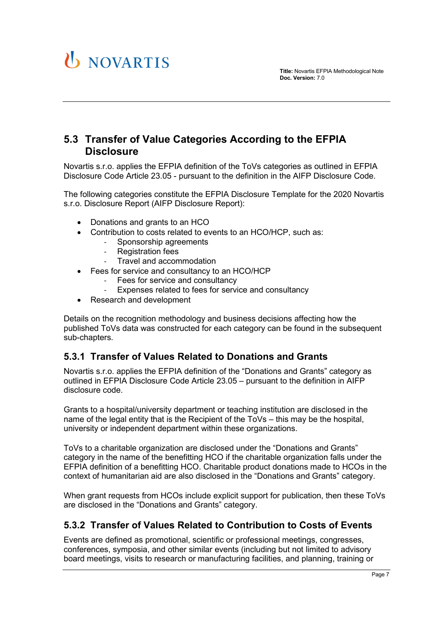## U NOVARTIS

#### <span id="page-6-0"></span>**5.3 Transfer of Value Categories According to the EFPIA Disclosure**

Novartis s.r.o. applies the EFPIA definition of the ToVs categories as outlined in EFPIA Disclosure Code Article 23.05 - pursuant to the definition in the AIFP Disclosure Code.

The following categories constitute the EFPIA Disclosure Template for the 2020 Novartis s.r.o. Disclosure Report (AIFP Disclosure Report):

- Donations and grants to an HCO
- Contribution to costs related to events to an HCO/HCP, such as:
	- Sponsorship agreements<br>- Registration fees
		- **Registration fees**
		- Travel and accommodation
- Fees for service and consultancy to an HCO/HCP
	- Fees for service and consultancy
	- Expenses related to fees for service and consultancy
- Research and development

Details on the recognition methodology and business decisions affecting how the published ToVs data was constructed for each category can be found in the subsequent sub-chapters.

#### <span id="page-6-1"></span>**5.3.1 Transfer of Values Related to Donations and Grants**

Novartis s.r.o. applies the EFPIA definition of the "Donations and Grants" category as outlined in EFPIA Disclosure Code Article 23.05 – pursuant to the definition in AIFP disclosure code.

Grants to a hospital/university department or teaching institution are disclosed in the name of the legal entity that is the Recipient of the ToVs – this may be the hospital, university or independent department within these organizations.

ToVs to a charitable organization are disclosed under the "Donations and Grants" category in the name of the benefitting HCO if the charitable organization falls under the EFPIA definition of a benefitting HCO. Charitable product donations made to HCOs in the context of humanitarian aid are also disclosed in the "Donations and Grants" category.

When grant requests from HCOs include explicit support for publication, then these ToVs are disclosed in the "Donations and Grants" category.

#### <span id="page-6-2"></span>**5.3.2 Transfer of Values Related to Contribution to Costs of Events**

Events are defined as promotional, scientific or professional meetings, congresses, conferences, symposia, and other similar events (including but not limited to advisory board meetings, visits to research or manufacturing facilities, and planning, training or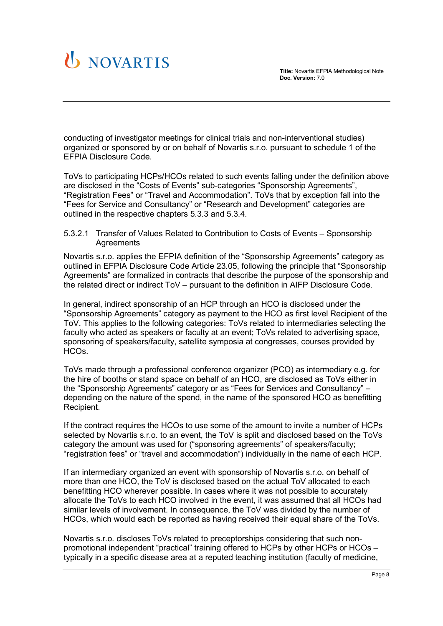

conducting of investigator meetings for clinical trials and non-interventional studies) organized or sponsored by or on behalf of Novartis s.r.o. pursuant to schedule 1 of the EFPIA Disclosure Code.

ToVs to participating HCPs/HCOs related to such events falling under the definition above are disclosed in the "Costs of Events" sub-categories "Sponsorship Agreements", "Registration Fees" or "Travel and Accommodation". ToVs that by exception fall into the "Fees for Service and Consultancy" or "Research and Development" categories are outlined in the respective chapters [5.3.3](#page-9-0) and [5.3.4.](#page-10-1)

<span id="page-7-0"></span>5.3.2.1 Transfer of Values Related to Contribution to Costs of Events – Sponsorship **Agreements** 

Novartis s.r.o. applies the EFPIA definition of the "Sponsorship Agreements" category as outlined in EFPIA Disclosure Code Article 23.05, following the principle that "Sponsorship Agreements" are formalized in contracts that describe the purpose of the sponsorship and the related direct or indirect ToV – pursuant to the definition in AIFP Disclosure Code.

In general, indirect sponsorship of an HCP through an HCO is disclosed under the "Sponsorship Agreements" category as payment to the HCO as first level Recipient of the ToV. This applies to the following categories: ToVs related to intermediaries selecting the faculty who acted as speakers or faculty at an event; ToVs related to advertising space, sponsoring of speakers/faculty, satellite symposia at congresses, courses provided by HCOs.

ToVs made through a professional conference organizer (PCO) as intermediary e.g. for the hire of booths or stand space on behalf of an HCO, are disclosed as ToVs either in the "Sponsorship Agreements" category or as "Fees for Services and Consultancy" – depending on the nature of the spend, in the name of the sponsored HCO as benefitting Recipient.

If the contract requires the HCOs to use some of the amount to invite a number of HCPs selected by Novartis s.r.o. to an event, the ToV is split and disclosed based on the ToVs category the amount was used for ("sponsoring agreements" of speakers/faculty; "registration fees" or "travel and accommodation") individually in the name of each HCP.

If an intermediary organized an event with sponsorship of Novartis s.r.o. on behalf of more than one HCO, the ToV is disclosed based on the actual ToV allocated to each benefitting HCO wherever possible. In cases where it was not possible to accurately allocate the ToVs to each HCO involved in the event, it was assumed that all HCOs had similar levels of involvement. In consequence, the ToV was divided by the number of HCOs, which would each be reported as having received their equal share of the ToVs.

Novartis s.r.o. discloses ToVs related to preceptorships considering that such nonpromotional independent "practical" training offered to HCPs by other HCPs or HCOs – typically in a specific disease area at a reputed teaching institution (faculty of medicine,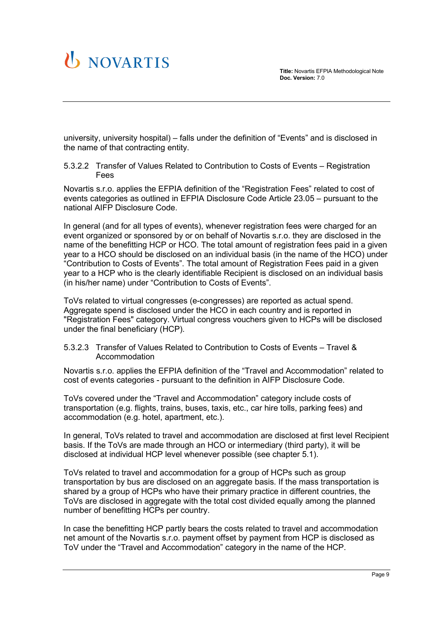university, university hospital) – falls under the definition of "Events" and is disclosed in the name of that contracting entity.

<span id="page-8-0"></span>5.3.2.2 Transfer of Values Related to Contribution to Costs of Events – Registration Fees

Novartis s.r.o. applies the EFPIA definition of the "Registration Fees" related to cost of events categories as outlined in EFPIA Disclosure Code Article 23.05 – pursuant to the national AIFP Disclosure Code.

In general (and for all types of events), whenever registration fees were charged for an event organized or sponsored by or on behalf of Novartis s.r.o. they are disclosed in the name of the benefitting HCP or HCO. The total amount of registration fees paid in a given year to a HCO should be disclosed on an individual basis (in the name of the HCO) under "Contribution to Costs of Events". The total amount of Registration Fees paid in a given year to a HCP who is the clearly identifiable Recipient is disclosed on an individual basis (in his/her name) under "Contribution to Costs of Events".

ToVs related to virtual congresses (e-congresses) are reported as actual spend. Aggregate spend is disclosed under the HCO in each country and is reported in "Registration Fees" category. Virtual congress vouchers given to HCPs will be disclosed under the final beneficiary (HCP).

#### <span id="page-8-1"></span>5.3.2.3 Transfer of Values Related to Contribution to Costs of Events – Travel & Accommodation

Novartis s.r.o. applies the EFPIA definition of the "Travel and Accommodation" related to cost of events categories - pursuant to the definition in AIFP Disclosure Code.

ToVs covered under the "Travel and Accommodation" category include costs of transportation (e.g. flights, trains, buses, taxis, etc., car hire tolls, parking fees) and accommodation (e.g. hotel, apartment, etc.).

In general, ToVs related to travel and accommodation are disclosed at first level Recipient basis. If the ToVs are made through an HCO or intermediary (third party), it will be disclosed at individual HCP level whenever possible (see chapter [5.1\)](#page-4-1).

ToVs related to travel and accommodation for a group of HCPs such as group transportation by bus are disclosed on an aggregate basis. If the mass transportation is shared by a group of HCPs who have their primary practice in different countries, the ToVs are disclosed in aggregate with the total cost divided equally among the planned number of benefitting HCPs per country.

In case the benefitting HCP partly bears the costs related to travel and accommodation net amount of the Novartis s.r.o. payment offset by payment from HCP is disclosed as ToV under the "Travel and Accommodation" category in the name of the HCP.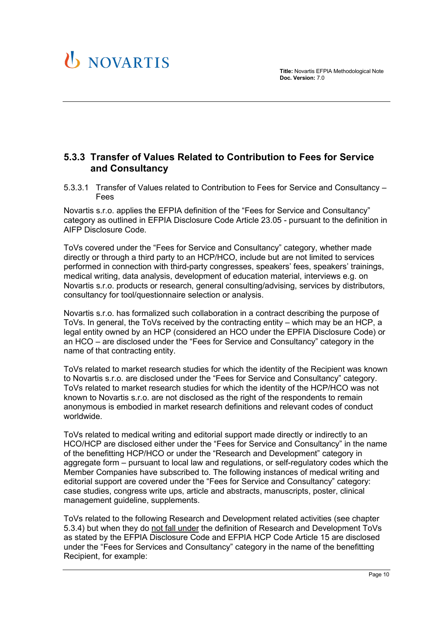

#### <span id="page-9-0"></span>**5.3.3 Transfer of Values Related to Contribution to Fees for Service and Consultancy**

<span id="page-9-1"></span>5.3.3.1 Transfer of Values related to Contribution to Fees for Service and Consultancy – Fees

Novartis s.r.o. applies the EFPIA definition of the "Fees for Service and Consultancy" category as outlined in EFPIA Disclosure Code Article 23.05 - pursuant to the definition in AIFP Disclosure Code.

ToVs covered under the "Fees for Service and Consultancy" category, whether made directly or through a third party to an HCP/HCO, include but are not limited to services performed in connection with third-party congresses, speakers' fees, speakers' trainings, medical writing, data analysis, development of education material, interviews e.g. on Novartis s.r.o. products or research, general consulting/advising, services by distributors, consultancy for tool/questionnaire selection or analysis.

Novartis s.r.o. has formalized such collaboration in a contract describing the purpose of ToVs. In general, the ToVs received by the contracting entity – which may be an HCP, a legal entity owned by an HCP (considered an HCO under the EPFIA Disclosure Code) or an HCO – are disclosed under the "Fees for Service and Consultancy" category in the name of that contracting entity.

ToVs related to market research studies for which the identity of the Recipient was known to Novartis s.r.o. are disclosed under the "Fees for Service and Consultancy" category. ToVs related to market research studies for which the identity of the HCP/HCO was not known to Novartis s.r.o. are not disclosed as the right of the respondents to remain anonymous is embodied in market research definitions and relevant codes of conduct worldwide.

ToVs related to medical writing and editorial support made directly or indirectly to an HCO/HCP are disclosed either under the "Fees for Service and Consultancy" in the name of the benefitting HCP/HCO or under the "Research and Development" category in aggregate form – pursuant to local law and regulations, or self-regulatory codes which the Member Companies have subscribed to. The following instances of medical writing and editorial support are covered under the "Fees for Service and Consultancy" category: case studies, congress write ups, article and abstracts, manuscripts, poster, clinical management guideline, supplements.

ToVs related to the following Research and Development related activities (see chapter [5.3.4\)](#page-10-1) but when they do not fall under the definition of Research and Development ToVs as stated by the EFPIA Disclosure Code and EFPIA HCP Code Article 15 are disclosed under the "Fees for Services and Consultancy" category in the name of the benefitting Recipient, for example: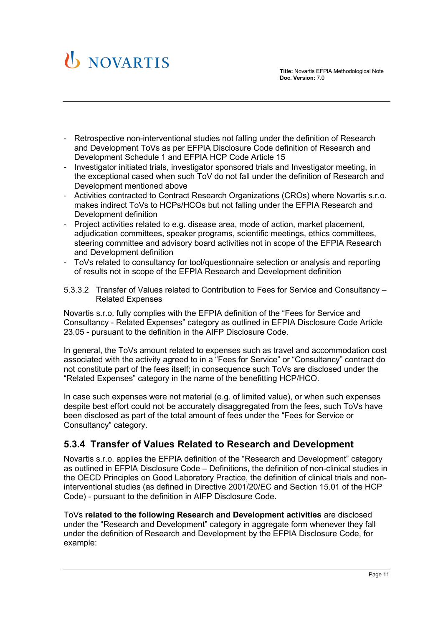

- Retrospective non-interventional studies not falling under the definition of Research and Development ToVs as per EFPIA Disclosure Code definition of Research and Development Schedule 1 and EFPIA HCP Code Article 15
- Investigator initiated trials, investigator sponsored trials and Investigator meeting, in the exceptional cased when such ToV do not fall under the definition of Research and Development mentioned above
- Activities contracted to Contract Research Organizations (CROs) where Novartis s.r.o. makes indirect ToVs to HCPs/HCOs but not falling under the EFPIA Research and Development definition
- Project activities related to e.g. disease area, mode of action, market placement, adjudication committees, speaker programs, scientific meetings, ethics committees, steering committee and advisory board activities not in scope of the EFPIA Research and Development definition
- ToVs related to consultancy for tool/questionnaire selection or analysis and reporting of results not in scope of the EFPIA Research and Development definition

<span id="page-10-0"></span>5.3.3.2 Transfer of Values related to Contribution to Fees for Service and Consultancy – Related Expenses

Novartis s.r.o. fully complies with the EFPIA definition of the "Fees for Service and Consultancy - Related Expenses" category as outlined in EFPIA Disclosure Code Article 23.05 - pursuant to the definition in the AIFP Disclosure Code.

In general, the ToVs amount related to expenses such as travel and accommodation cost associated with the activity agreed to in a "Fees for Service" or "Consultancy" contract do not constitute part of the fees itself; in consequence such ToVs are disclosed under the "Related Expenses" category in the name of the benefitting HCP/HCO.

In case such expenses were not material (e.g. of limited value), or when such expenses despite best effort could not be accurately disaggregated from the fees, such ToVs have been disclosed as part of the total amount of fees under the "Fees for Service or Consultancy" category.

#### <span id="page-10-1"></span>**5.3.4 Transfer of Values Related to Research and Development**

Novartis s.r.o. applies the EFPIA definition of the "Research and Development" category as outlined in EFPIA Disclosure Code – Definitions, the definition of non-clinical studies in the OECD Principles on Good Laboratory Practice, the definition of clinical trials and noninterventional studies (as defined in Directive 2001/20/EC and Section 15.01 of the HCP Code) - pursuant to the definition in AIFP Disclosure Code.

ToVs **related to the following Research and Development activities** are disclosed under the "Research and Development" category in aggregate form whenever they fall under the definition of Research and Development by the EFPIA Disclosure Code, for example: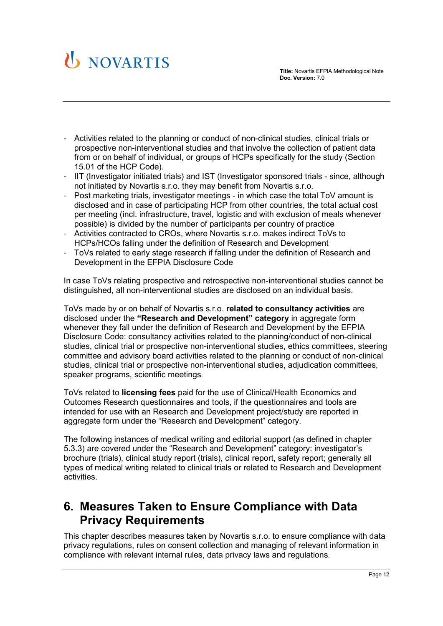

- Activities related to the planning or conduct of non-clinical studies, clinical trials or prospective non-interventional studies and that involve the collection of patient data from or on behalf of individual, or groups of HCPs specifically for the study (Section 15.01 of the HCP Code).
- IIT (Investigator initiated trials) and IST (Investigator sponsored trials since, although not initiated by Novartis s.r.o. they may benefit from Novartis s.r.o.
- Post marketing trials, investigator meetings in which case the total ToV amount is disclosed and in case of participating HCP from other countries, the total actual cost per meeting (incl. infrastructure, travel, logistic and with exclusion of meals whenever possible) is divided by the number of participants per country of practice
- Activities contracted to CROs, where Novartis s.r.o. makes indirect ToVs to HCPs/HCOs falling under the definition of Research and Development
- ToVs related to early stage research if falling under the definition of Research and Development in the EFPIA Disclosure Code

In case ToVs relating prospective and retrospective non-interventional studies cannot be distinguished, all non-interventional studies are disclosed on an individual basis.

ToVs made by or on behalf of Novartis s.r.o. **related to consultancy activities** are disclosed under the **"Research and Development" category** in aggregate form whenever they fall under the definition of Research and Development by the EFPIA Disclosure Code: consultancy activities related to the planning/conduct of non-clinical studies, clinical trial or prospective non-interventional studies, ethics committees, steering committee and advisory board activities related to the planning or conduct of non-clinical studies, clinical trial or prospective non-interventional studies, adjudication committees, speaker programs, scientific meetings.

ToVs related to **licensing fees** paid for the use of Clinical/Health Economics and Outcomes Research questionnaires and tools, if the questionnaires and tools are intended for use with an Research and Development project/study are reported in aggregate form under the "Research and Development" category.

The following instances of medical writing and editorial support (as defined in chapter [5.3.3\)](#page-9-0) are covered under the "Research and Development" category: investigator's brochure (trials), clinical study report (trials), clinical report, safety report; generally all types of medical writing related to clinical trials or related to Research and Development activities.

## <span id="page-11-0"></span>**6. Measures Taken to Ensure Compliance with Data Privacy Requirements**

This chapter describes measures taken by Novartis s.r.o. to ensure compliance with data privacy regulations, rules on consent collection and managing of relevant information in compliance with relevant internal rules, data privacy laws and regulations.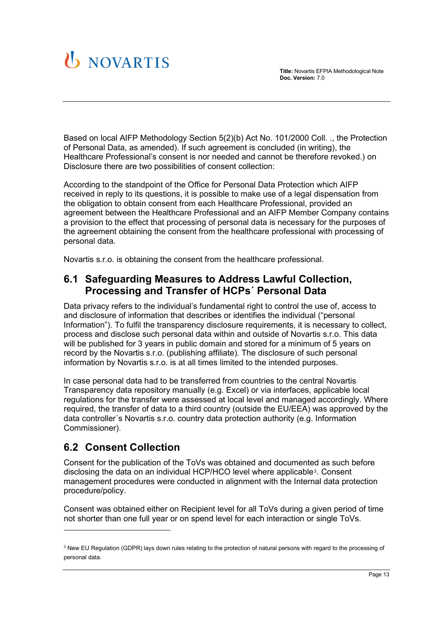

Based on local AIFP Methodology Section 5(2)(b) Act No. 101/2000 Coll. ., the Protection of Personal Data, as amended). If such agreement is concluded (in writing), the Healthcare Professional's consent is nor needed and cannot be therefore revoked.) on Disclosure there are two possibilities of consent collection:

According to the standpoint of the Office for Personal Data Protection which AIFP received in reply to its questions, it is possible to make use of a legal dispensation from the obligation to obtain consent from each Healthcare Professional, provided an agreement between the Healthcare Professional and an AIFP Member Company contains a provision to the effect that processing of personal data is necessary for the purposes of the agreement obtaining the consent from the healthcare professional with processing of personal data.

Novartis s.r.o. is obtaining the consent from the healthcare professional.

#### <span id="page-12-0"></span>**6.1 Safeguarding Measures to Address Lawful Collection, Processing and Transfer of HCPs´ Personal Data**

Data privacy refers to the individual's fundamental right to control the use of, access to and disclosure of information that describes or identifies the individual ("personal Information"). To fulfil the transparency disclosure requirements, it is necessary to collect, process and disclose such personal data within and outside of Novartis s.r.o. This data will be published for 3 years in public domain and stored for a minimum of 5 years on record by the Novartis s.r.o. (publishing affiliate). The disclosure of such personal information by Novartis s.r.o. is at all times limited to the intended purposes.

In case personal data had to be transferred from countries to the central Novartis Transparency data repository manually (e.g. Excel) or via interfaces, applicable local regulations for the transfer were assessed at local level and managed accordingly. Where required, the transfer of data to a third country (outside the EU/EEA) was approved by the data controller´s Novartis s.r.o. country data protection authority (e.g. Information Commissioner).

### <span id="page-12-1"></span>**6.2 Consent Collection**

Consent for the publication of the ToVs was obtained and documented as such before disclosing the data on an individual HCP/HCO level where applicable[3](#page-12-2). Consent management procedures were conducted in alignment with the Internal data protection procedure/policy.

Consent was obtained either on Recipient level for all ToVs during a given period of time not shorter than one full year or on spend level for each interaction or single ToVs.

<span id="page-12-2"></span><sup>&</sup>lt;sup>3</sup> New EU Regulation (GDPR) lays down rules relating to the protection of natural persons with regard to the processing of personal data.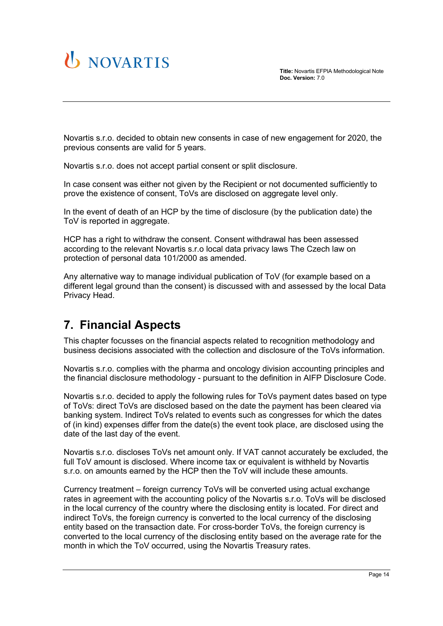

**Title:** Novartis EFPIA Methodological Note **Doc. Version:** 7.0

Novartis s.r.o. decided to obtain new consents in case of new engagement for 2020, the previous consents are valid for 5 years.

Novartis s.r.o. does not accept partial consent or split disclosure.

In case consent was either not given by the Recipient or not documented sufficiently to prove the existence of consent, ToVs are disclosed on aggregate level only.

In the event of death of an HCP by the time of disclosure (by the publication date) the ToV is reported in aggregate.

HCP has a right to withdraw the consent. Consent withdrawal has been assessed according to the relevant Novartis s.r.o local data privacy laws The Czech law on protection of personal data 101/2000 as amended.

Any alternative way to manage individual publication of ToV (for example based on a different legal ground than the consent) is discussed with and assessed by the local Data Privacy Head.

## <span id="page-13-0"></span>**7. Financial Aspects**

This chapter focusses on the financial aspects related to recognition methodology and business decisions associated with the collection and disclosure of the ToVs information.

Novartis s.r.o. complies with the pharma and oncology division accounting principles and the financial disclosure methodology - pursuant to the definition in AIFP Disclosure Code.

Novartis s.r.o. decided to apply the following rules for ToVs payment dates based on type of ToVs: direct ToVs are disclosed based on the date the payment has been cleared via banking system. Indirect ToVs related to events such as congresses for which the dates of (in kind) expenses differ from the date(s) the event took place, are disclosed using the date of the last day of the event.

Novartis s.r.o. discloses ToVs net amount only. If VAT cannot accurately be excluded, the full ToV amount is disclosed. Where income tax or equivalent is withheld by Novartis s.r.o. on amounts earned by the HCP then the ToV will include these amounts.

Currency treatment – foreign currency ToVs will be converted using actual exchange rates in agreement with the accounting policy of the Novartis s.r.o. ToVs will be disclosed in the local currency of the country where the disclosing entity is located. For direct and indirect ToVs, the foreign currency is converted to the local currency of the disclosing entity based on the transaction date. For cross-border ToVs, the foreign currency is converted to the local currency of the disclosing entity based on the average rate for the month in which the ToV occurred, using the Novartis Treasury rates.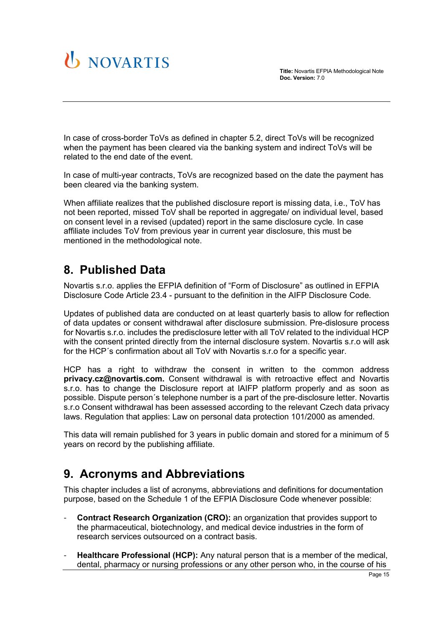

In case of cross-border ToVs as defined in chapter 5.2, direct ToVs will be recognized when the payment has been cleared via the banking system and indirect ToVs will be related to the end date of the event.

In case of multi-year contracts, ToVs are recognized based on the date the payment has been cleared via the banking system.

When affiliate realizes that the published disclosure report is missing data, i.e., ToV has not been reported, missed ToV shall be reported in aggregate/ on individual level, based on consent level in a revised (updated) report in the same disclosure cycle. In case affiliate includes ToV from previous year in current year disclosure, this must be mentioned in the methodological note.

## <span id="page-14-0"></span>**8. Published Data**

Novartis s.r.o. applies the EFPIA definition of "Form of Disclosure" as outlined in EFPIA Disclosure Code Article 23.4 - pursuant to the definition in the AIFP Disclosure Code.

Updates of published data are conducted on at least quarterly basis to allow for reflection of data updates or consent withdrawal after disclosure submission. Pre-dislosure process for Novartis s.r.o. includes the predisclosure letter with all ToV related to the individual HCP with the consent printed directly from the internal disclosure system. Novartis s.r.o will ask for the HCP´s confirmation about all ToV with Novartis s.r.o for a specific year.

HCP has a right to withdraw the consent in written to the common address **privacy.cz@novartis.com.** Consent withdrawal is with retroactive effect and Novartis s.r.o. has to change the Disclosure report at lAIFP platform properly and as soon as possible. Dispute person´s telephone number is a part of the pre-disclosure letter. Novartis s.r.o Consent withdrawal has been assessed according to the relevant Czech data privacy laws. Regulation that applies: Law on personal data protection 101/2000 as amended.

This data will remain published for 3 years in public domain and stored for a minimum of 5 years on record by the publishing affiliate.

## <span id="page-14-1"></span>**9. Acronyms and Abbreviations**

This chapter includes a list of acronyms, abbreviations and definitions for documentation purpose, based on the Schedule 1 of the EFPIA Disclosure Code whenever possible:

- **Contract Research Organization (CRO):** an organization that provides support to the pharmaceutical, biotechnology, and medical device industries in the form of research services outsourced on a contract basis.
- **Healthcare Professional (HCP):** Any natural person that is a member of the medical, dental, pharmacy or nursing professions or any other person who, in the course of his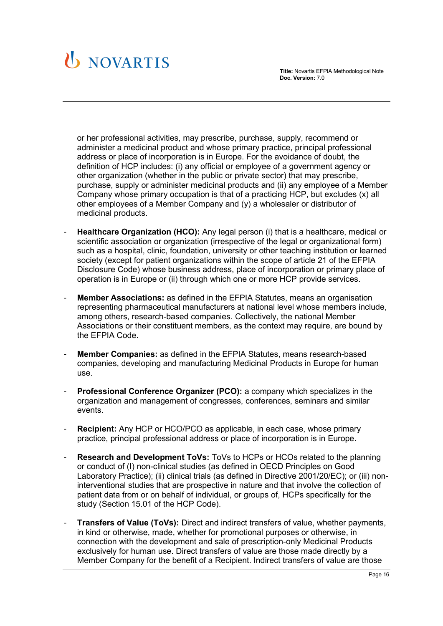

or her professional activities, may prescribe, purchase, supply, recommend or administer a medicinal product and whose primary practice, principal professional address or place of incorporation is in Europe. For the avoidance of doubt, the definition of HCP includes: (i) any official or employee of a government agency or other organization (whether in the public or private sector) that may prescribe, purchase, supply or administer medicinal products and (ii) any employee of a Member Company whose primary occupation is that of a practicing HCP, but excludes (x) all other employees of a Member Company and (y) a wholesaler or distributor of medicinal products.

- **Healthcare Organization (HCO):** Any legal person (i) that is a healthcare, medical or scientific association or organization (irrespective of the legal or organizational form) such as a hospital, clinic, foundation, university or other teaching institution or learned society (except for patient organizations within the scope of article 21 of the EFPIA Disclosure Code) whose business address, place of incorporation or primary place of operation is in Europe or (ii) through which one or more HCP provide services.
- **Member Associations:** as defined in the EFPIA Statutes, means an organisation representing pharmaceutical manufacturers at national level whose members include, among others, research-based companies. Collectively, the national Member Associations or their constituent members, as the context may require, are bound by the EFPIA Code.
- **Member Companies:** as defined in the EFPIA Statutes, means research-based companies, developing and manufacturing Medicinal Products in Europe for human use.
- **Professional Conference Organizer (PCO):** a company which specializes in the organization and management of congresses, conferences, seminars and similar events.
- **Recipient:** Any HCP or HCO/PCO as applicable, in each case, whose primary practice, principal professional address or place of incorporation is in Europe.
- **Research and Development ToVs:** ToVs to HCPs or HCOs related to the planning or conduct of (I) non-clinical studies (as defined in OECD Principles on Good Laboratory Practice); (ii) clinical trials (as defined in Directive 2001/20/EC); or (iii) noninterventional studies that are prospective in nature and that involve the collection of patient data from or on behalf of individual, or groups of, HCPs specifically for the study (Section 15.01 of the HCP Code).
- **Transfers of Value (ToVs):** Direct and indirect transfers of value, whether payments, in kind or otherwise, made, whether for promotional purposes or otherwise, in connection with the development and sale of prescription-only Medicinal Products exclusively for human use. Direct transfers of value are those made directly by a Member Company for the benefit of a Recipient. Indirect transfers of value are those